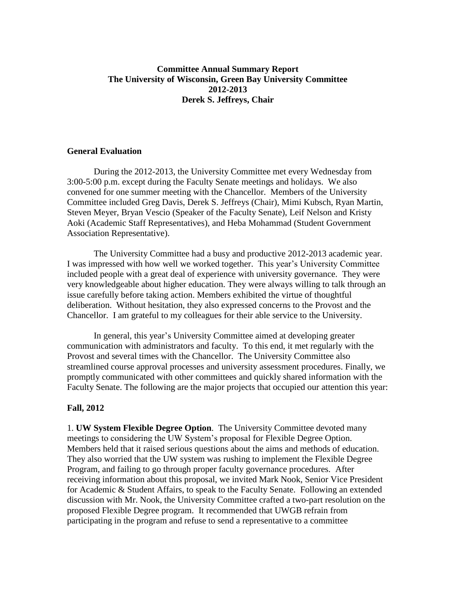## **Committee Annual Summary Report The University of Wisconsin, Green Bay University Committee 2012-2013 Derek S. Jeffreys, Chair**

## **General Evaluation**

During the 2012-2013, the University Committee met every Wednesday from 3:00-5:00 p.m. except during the Faculty Senate meetings and holidays. We also convened for one summer meeting with the Chancellor. Members of the University Committee included Greg Davis, Derek S. Jeffreys (Chair), Mimi Kubsch, Ryan Martin, Steven Meyer, Bryan Vescio (Speaker of the Faculty Senate), Leif Nelson and Kristy Aoki (Academic Staff Representatives), and Heba Mohammad (Student Government Association Representative).

The University Committee had a busy and productive 2012-2013 academic year. I was impressed with how well we worked together. This year's University Committee included people with a great deal of experience with university governance. They were very knowledgeable about higher education. They were always willing to talk through an issue carefully before taking action. Members exhibited the virtue of thoughtful deliberation. Without hesitation, they also expressed concerns to the Provost and the Chancellor. I am grateful to my colleagues for their able service to the University.

In general, this year's University Committee aimed at developing greater communication with administrators and faculty. To this end, it met regularly with the Provost and several times with the Chancellor. The University Committee also streamlined course approval processes and university assessment procedures. Finally, we promptly communicated with other committees and quickly shared information with the Faculty Senate. The following are the major projects that occupied our attention this year:

## **Fall, 2012**

1. **UW System Flexible Degree Option**. The University Committee devoted many meetings to considering the UW System's proposal for Flexible Degree Option. Members held that it raised serious questions about the aims and methods of education. They also worried that the UW system was rushing to implement the Flexible Degree Program, and failing to go through proper faculty governance procedures. After receiving information about this proposal, we invited Mark Nook, Senior Vice President for Academic & Student Affairs, to speak to the Faculty Senate. Following an extended discussion with Mr. Nook, the University Committee crafted a two-part resolution on the proposed Flexible Degree program. It recommended that UWGB refrain from participating in the program and refuse to send a representative to a committee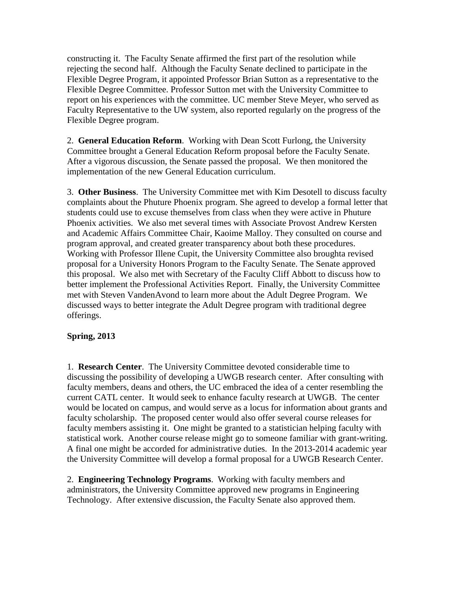constructing it. The Faculty Senate affirmed the first part of the resolution while rejecting the second half. Although the Faculty Senate declined to participate in the Flexible Degree Program, it appointed Professor Brian Sutton as a representative to the Flexible Degree Committee. Professor Sutton met with the University Committee to report on his experiences with the committee. UC member Steve Meyer, who served as Faculty Representative to the UW system, also reported regularly on the progress of the Flexible Degree program.

2. **General Education Reform**. Working with Dean Scott Furlong, the University Committee brought a General Education Reform proposal before the Faculty Senate. After a vigorous discussion, the Senate passed the proposal. We then monitored the implementation of the new General Education curriculum.

3. **Other Business**. The University Committee met with Kim Desotell to discuss faculty complaints about the Phuture Phoenix program. She agreed to develop a formal letter that students could use to excuse themselves from class when they were active in Phuture Phoenix activities. We also met several times with Associate Provost Andrew Kersten and Academic Affairs Committee Chair, Kaoime Malloy. They consulted on course and program approval, and created greater transparency about both these procedures. Working with Professor Illene Cupit, the University Committee also broughta revised proposal for a University Honors Program to the Faculty Senate. The Senate approved this proposal. We also met with Secretary of the Faculty Cliff Abbott to discuss how to better implement the Professional Activities Report. Finally, the University Committee met with Steven VandenAvond to learn more about the Adult Degree Program. We discussed ways to better integrate the Adult Degree program with traditional degree offerings.

## **Spring, 2013**

1. **Research Center**. The University Committee devoted considerable time to discussing the possibility of developing a UWGB research center. After consulting with faculty members, deans and others, the UC embraced the idea of a center resembling the current CATL center. It would seek to enhance faculty research at UWGB. The center would be located on campus, and would serve as a locus for information about grants and faculty scholarship. The proposed center would also offer several course releases for faculty members assisting it. One might be granted to a statistician helping faculty with statistical work. Another course release might go to someone familiar with grant-writing. A final one might be accorded for administrative duties. In the 2013-2014 academic year the University Committee will develop a formal proposal for a UWGB Research Center.

2. **Engineering Technology Programs**. Working with faculty members and administrators, the University Committee approved new programs in Engineering Technology. After extensive discussion, the Faculty Senate also approved them.